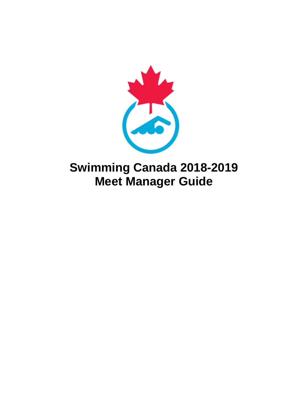

# **Swimming Canada 2018-2019 Meet Manager Guide**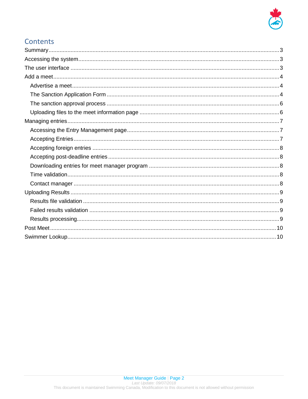

# Contents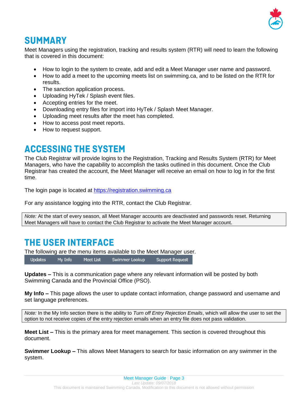

# <span id="page-2-0"></span>**SUMMARY**

Meet Managers using the registration, tracking and results system (RTR) will need to learn the following that is covered in this document:

- How to login to the system to create, add and edit a Meet Manager user name and password.
- How to add a meet to the upcoming meets list on swimming.ca, and to be listed on the RTR for results.
- The sanction application process.
- Uploading HyTek / Splash event files.
- Accepting entries for the meet.
- Downloading entry files for import into HyTek / Splash Meet Manager.
- Uploading meet results after the meet has completed.
- How to access post meet reports.
- How to request support.

# <span id="page-2-1"></span>**ACCESSING THE SYSTEM**

The Club Registrar will provide logins to the Registration, Tracking and Results System (RTR) for Meet Managers, who have the capability to accomplish the tasks outlined in this document. Once the Club Registrar has created the account, the Meet Manager will receive an email on how to log in for the first time.

The login page is located at [https://registration.swimming.ca](https://registration.swimming.ca/)

For any assistance logging into the RTR, contact the Club Registrar.

*Note:* At the start of every season, all Meet Manager accounts are deactivated and passwords reset. Returning Meet Managers will have to contact the Club Registrar to activate the Meet Manager account.

# <span id="page-2-2"></span>**THE USER INTERFACE**

The following are the menu items available to the Meet Manager user.

**Updates** My Info Meet List Swimmer Lookup **Support Request** 

**Updates –** This is a communication page where any relevant information will be posted by both Swimming Canada and the Provincial Office (PSO).

**My Info –** This page allows the user to update contact information, change password and username and set language preferences.

*Note:* In the My Info section there is the ability to *Turn off Entry Rejection Emails*, which will allow the user to set the option to not receive copies of the entry rejection emails when an entry file does not pass validation.

**Meet List –** This is the primary area for meet management. This section is covered throughout this document.

**Swimmer Lookup –** This allows Meet Managers to search for basic information on any swimmer in the system.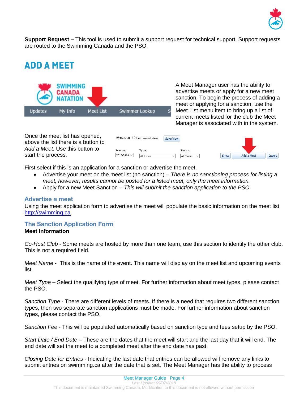

**Support Request –** This tool is used to submit a support request for technical support. Support requests are routed to the Swimming Canada and the PSO.

# <span id="page-3-0"></span>**ADD A MEET**



A Meet Manager user has the ability to advertise meets or apply for a new meet sanction. To begin the process of adding a meet or applying for a sanction, use the Meet List menu item to bring up a list of current meets listed for the club the Meet Manager is associated with in the system.



First select if this is an application for a sanction or advertise the meet.

- Advertise your meet on the meet list (no sanction) *There is no sanctioning process for listing a meet, however, results cannot be posted for a listed meet, only the meet information.*
- Apply for a new Meet Sanction *This will submit the sanction application to the PSO.*

### <span id="page-3-1"></span>Advertise a meet

Using the meet application form to advertise the meet will populate the basic information on the meet list [http://swimming.ca.](http://swimming.ca/)

# <span id="page-3-2"></span>The Sanction Application Form

#### **Meet Information**

*Co-Host Club* - Some meets are hosted by more than one team, use this section to identify the other club. This is not a required field.

*Meet Name* - This is the name of the event. This name will display on the meet list and upcoming events list.

*Meet Type* – Select the qualifying type of meet. For further information about meet types, please contact the PSO.

*Sanction Type* - There are different levels of meets. If there is a need that requires two different sanction types, then two separate sanction applications must be made. For further information about sanction types, please contact the PSO.

*Sanction Fee* - This will be populated automatically based on sanction type and fees setup by the PSO.

*Start Date / End Date –* These are the dates that the meet will start and the last day that it will end. The end date will set the meet to a completed meet after the end date has past.

*Closing Date for Entries* - Indicating the last date that entries can be allowed will remove any links to submit entries on swimming.ca after the date that is set. The Meet Manager has the ability to process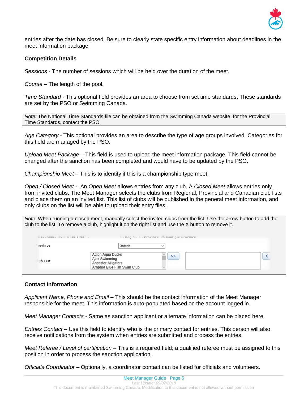

entries after the date has closed. Be sure to clearly state specific entry information about deadlines in the meet information package.

#### **Competition Details**

*Sessions* - The number of sessions which will be held over the duration of the meet.

*Course –* The length of the pool.

*Time Standard* - This optional field provides an area to choose from set time standards. These standards are set by the PSO or Swimming Canada.

*Note:* The National Time Standards file can be obtained from the Swimming Canada website, for the Provincial Time Standards, contact the PSO.

*Age Category* - This optional provides an area to describe the type of age groups involved. Categories for this field are managed by the PSO.

*Upload Meet Package* – This field is used to upload the meet information package. This field cannot be changed after the sanction has been completed and would have to be updated by the PSO.

*Championship Meet –* This is to identify if this is a championship type meet.

*Open / Closed Meet* - An *Open Meet* allows entries from any club. A *Closed Meet* allows entries only from invited clubs. The Meet Manager selects the clubs from Regional, Provincial and Canadian club lists and place them on an invited list. This list of clubs will be published in the general meet information, and only clubs on the list will be able to upload their entry files.

| Note: When running a closed meet, manually select the invited clubs from the list. Use the arrow button to add the |  |
|--------------------------------------------------------------------------------------------------------------------|--|
| club to the list. To remove a club, highlight it on the right list and use the X button to remove it.              |  |

| > | ⋏ |
|---|---|
|   |   |
|   |   |

### **Contact Information**

*Applicant Name, Phone and Email* – This should be the contact information of the Meet Manager responsible for the meet. This information is auto-populated based on the account logged in.

*Meet Manager Contacts -* Same as sanction applicant or alternate information can be placed here.

*Entries Contact –* Use this field to identify who is the primary contact for entries. This person will also receive notifications from the system when entries are submitted and process the entries.

*Meet Referee / Level of certification* – This is a required field; a qualified referee must be assigned to this position in order to process the sanction application.

*Officials Coordinator –* Optionally, a coordinator contact can be listed for officials and volunteers.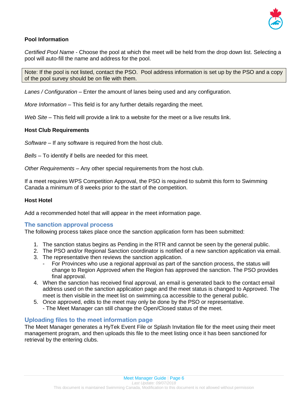

### **Pool Information**

*Certified Pool Name* - Choose the pool at which the meet will be held from the drop down list. Selecting a pool will auto-fill the name and address for the pool.

Note: If the pool is not listed, contact the PSO. Pool address information is set up by the PSO and a copy of the pool survey should be on file with them.

*Lanes / Configuration –* Enter the amount of lanes being used and any configuration.

*More Information* – This field is for any further details regarding the meet.

*Web Site* – This field will provide a link to a website for the meet or a live results link.

#### **Host Club Requirements**

*Software* – If any software is required from the host club.

*Bells –* To identify if bells are needed for this meet.

*Other Requirements –* Any other special requirements from the host club.

If a meet requires WPS Competition Approval, the PSO is required to submit this form to Swimming Canada a minimum of 8 weeks prior to the start of the competition.

#### **Host Hotel**

Add a recommended hotel that will appear in the meet information page.

### <span id="page-5-0"></span>The sanction approval process

The following process takes place once the sanction application form has been submitted:

- 1. The sanction status begins as Pending in the RTR and cannot be seen by the general public.
- 2. The PSO and/or Regional Sanction coordinator is notified of a new sanction application via email.
- 3. The representative then reviews the sanction application.
	- For Provinces who use a regional approval as part of the sanction process, the status will change to Region Approved when the Region has approved the sanction. The PSO provides final approval.
- 4. When the sanction has received final approval, an email is generated back to the contact email address used on the sanction application page and the meet status is changed to Approved. The meet is then visible in the meet list on swimming.ca accessible to the general public.
- 5. Once approved, edits to the meet may only be done by the PSO or representative.
	- The Meet Manager can still change the Open/Closed status of the meet.

### <span id="page-5-1"></span>Uploading files to the meet information page

The Meet Manager generates a HyTek Event File or Splash Invitation file for the meet using their meet management program, and then uploads this file to the meet listing once it has been sanctioned for retrieval by the entering clubs.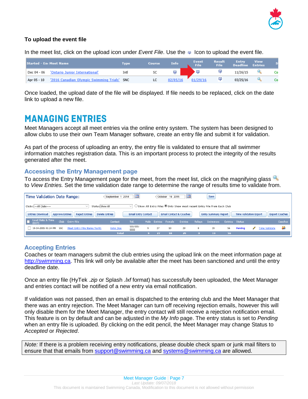

# **To upload the event file**

In the meet list, click on the upload icon under *Event File*. Use the <sub>IR</sub> loon to upload the event file.

| <b>Started - En Meet Name</b> |                                             | Type | Course | Info     | Event<br>File | Result<br>File | <b>Entry</b><br><b>Deadline</b> | <b>View</b><br><b>Entries</b> |    |
|-------------------------------|---------------------------------------------|------|--------|----------|---------------|----------------|---------------------------------|-------------------------------|----|
| Dec 04 - 06                   | 'Ontario Junior International'              | Intl | SC     | E.       |               |                | 11/26/15                        |                               | Co |
| Apr 05 - 10                   | '2016 Canadian Olympic Swimming Trials' SNC |      | LC     | 02/05/1' | 01/29/16      | 国              | 03/25/16                        |                               | Co |

Once loaded, the upload date of the file will be displayed. If file needs to be replaced, click on the date link to upload a new file.

# <span id="page-6-0"></span>**MANAGING ENTRIES**

Meet Managers accept all meet entries via the online entry system. The system has been designed to allow clubs to use their own Team Manager software, create an entry file and submit it for validation.

As part of the process of uploading an entry, the entry file is validated to ensure that all swimmer information matches registration data. This is an important process to protect the integrity of the results generated after the meet.

# <span id="page-6-1"></span>Accessing the Entry Management page

Toaccess the Entry Management page for the meet, from the meet list, click on the magnifying glass to *View Entries.* Set the time validation date range to determine the range of results time to validate from.

| <b>Time Validation Date Range:</b>                                         | $:$ September 1 2014<br><b>THE</b> |                            |      | : October 16 2015 | $\mathbb{H}$ |                                    | Save          |                                                                          |                       |                               |                      |                       |
|----------------------------------------------------------------------------|------------------------------------|----------------------------|------|-------------------|--------------|------------------------------------|---------------|--------------------------------------------------------------------------|-----------------------|-------------------------------|----------------------|-----------------------|
| Clubs: --- All Clubs-----                                                  | Status Show All                    | v.                         |      |                   |              |                                    |               | ○ Show All Entry Files ● Only Show most recent Entry File from Each Club |                       |                               |                      |                       |
| <b>Entries Download</b><br><b>Approve Entries</b><br><b>Reject Entries</b> | <b>Delete Entries</b>              | <b>Email Entry Contact</b> |      |                   |              | <b>Email Contact &amp; Coaches</b> |               | <b>Entry Summary Report</b>                                              |                       | <b>Time Validation Export</b> |                      | <b>Export Coaches</b> |
| <b>Load Date &amp; Time</b><br>Club Entry File<br>(EST)                    | Contact                            | Tel.                       | Male | Entries           | Female       | Entries                            | <b>Relavs</b> | Swimmers                                                                 | <b>Entries</b> Status |                               |                      | Coaches               |
| 10-14-2015 01:24 PM<br><b>Meet Entry File Name Ver01</b><br>SSC            | John Doe                           | 555-555-<br>5555           | 9    | 27                | 10           | 29                                 | $\Omega$      | 19                                                                       | 56                    | Pendina                       | <b>Time Validate</b> | 29                    |
|                                                                            | <b>Total</b>                       |                            |      | 27                | 10           | 29                                 |               | 19                                                                       | 56                    |                               |                      |                       |

# <span id="page-6-2"></span>Accepting Entries

Coaches or team managers submit the club entries using the upload link on the meet information page at [http://swimming.ca.](http://swimming.ca/) This link will only be available after the meet has been sanctioned and until the entry deadline date.

Once an entry file (HyTek *.zip* or Splash *.lxf* format) has successfully been uploaded, the Meet Manager and entries contact will be notified of a new entry via email notification.

If validation was not passed, then an email is dispatched to the entering club and the Meet Manager that there was an entry rejection. The Meet Manager can turn off receiving rejection emails, however this will only disable them for the Meet Manager, the entry contact will still receive a rejection notification email. This feature is on by default and can be adjusted in the *My Info* page. The entry status is set to *Pending* when an entry file is uploaded. By clicking on the edit pencil, the Meet Manager may change Status to *Accepted* or *Rejected*.

*Note:* If there is a problem receiving entry notifications, please double check spam or junk mail filters to ensure that that emails from [support@swimming.ca](mailto:support@swimming.ca) and [systems@swimming.ca](mailto:systems@swimming.ca) are allowed.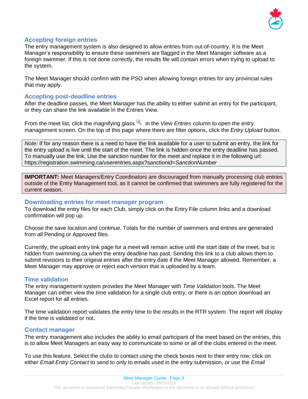

### <span id="page-7-0"></span>Accepting foreign entries

The entry management system is also designed to allow entries from out-of-country. It is the Meet Manager's responsibility to ensure these swimmers are flagged in the Meet Manager software as a foreign swimmer. If this is not done correctly, the results file will contain errors when trying to upload to the system.

The Meet Manager should confirm with the PSO when allowing foreign entries for any provincial rules that may apply.

### <span id="page-7-1"></span>Accepting post-deadline entries

After the deadline passes, the Meet Manager has the ability to either submit an entry for the participant, or they can share the link available in the Entries View.

From the meet list, click the magnifying glass in the *View Entries* column to open the entry management screen. On the top of this page where there are filter options, click the *Entry Upload* button.

*Note:* If for any reason there is a need to have the link available for a user to submit an entry, the link for the entry upload is live until the start of the meet. The link is hidden once the entry deadline has passed. To manually use the link, Use the sanction number for the meet and replace it in the following url: https://registration.swimming.ca/userentries.aspx?sanctionid=*SanctionNumber*

**IMPORTANT:** Meet Managers/Entry Coordinators are discouraged from manually processing club entries outside of the Entry Management tool, as it cannot be confirmed that swimmers are fully registered for the current season.

#### <span id="page-7-2"></span>Downloading entries for meet manager program

To download the entry files for each Club, simply click on the Entry File column links and a download confirmation will pop up.

Choose the save location and continue. Totals for the number of swimmers and entries are generated from all Pending or Approved files.

Currently, the upload entry link page for a meet will remain active until the start date of the meet, but is hidden from swimming.ca when the entry deadline has past. Sending this link to a club allows them to submit revisions to their original entries after the entry date if the Meet Manager allowed. Remember, a Meet Manager may approve or reject each version that is uploaded by a team.

### <span id="page-7-3"></span>Time validation

The entry management system provides the Meet Manager with *Time Validation* tools. The Meet Manager can either view the time validation for a single club entry, or there is an option download an Excel report for all entries.

The time validation report validates the entry time to the results in the RTR system. The report will display if the time is validated or not.

### <span id="page-7-4"></span>Contact manager

The entry management also includes the ability to email participant of the meet based on the entries, this is to allow Meet Managers an easy way to communicate to some or all of the clubs entered in the meet.

To use this feature, Select the clubs to contact using the check boxes next to their entry row, click on either *Email Entry Contact* to send to only to emails used in the entry submission, or use the *Email*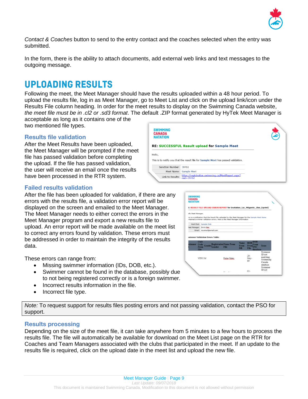

*Contact & Coaches* button to send to the entry contact and the coaches selected when the entry was submitted.

In the form, there is the ability to attach documents, add external web links and text messages to the outgoing message.

# <span id="page-8-0"></span>**UPLOADING RESULTS**

Following the meet, the Meet Manager should have the results uploaded within a 48 hour period. To upload the results file, log in as Meet Manager, go to Meet List and click on the upload link/icon under the Results File column heading. In order for the meet results to display on the Swimming Canada website, *the meet file must be in .cl2 or .sd3 format*. The default .ZIP format generated by HyTek Meet Manager is

acceptable as long as it contains one of the two mentioned file types.

# <span id="page-8-1"></span>Results file validation

After the Meet Results have been uploaded, the Meet Manager will be prompted if the meet file has passed validation before completing the upload. If the file has passed validation, the user will receive an email once the results have been processed in the RTR system.

### <span id="page-8-2"></span>Failed results validation

After the file has been uploaded for validation, if there are any errors with the results file, a validation error report will be displayed on the screen and emailed to the Meet Manager. The Meet Manager needs to either correct the errors in the Meet Manager program and export a new results file to upload. An error report will be made available on the meet list to correct any errors found by validation. These errors must be addressed in order to maintain the integrity of the results data.

These errors can range from:

- Missing swimmer information (IDs, DOB, etc.).
- Swimmer cannot be found in the database, possibly due to not being registered correctly or is a foreign swimmer.
- Incorrect results information in the file.
- Incorrect file type.

**SWIMMING CANADA NATATION RE: SUCCESSFUL Result upload for Sample Meet** Hello, This is to notify you that the result file for **Sample Meet** has passed validation Sanction Number: 39761 Meet Name: Sample Meet Link to Results: https://registration.swimming.ca/MeetReport.aspx?

|                         | E: RESULT FILE UPLOAD ERROR REPORT for Invitation Lac Mégantic 1km (sprint)                                                                                                 |                                      |                                   |                                                    |                                                                 |
|-------------------------|-----------------------------------------------------------------------------------------------------------------------------------------------------------------------------|--------------------------------------|-----------------------------------|----------------------------------------------------|-----------------------------------------------------------------|
|                         |                                                                                                                                                                             |                                      |                                   |                                                    |                                                                 |
| sllo Meet Manager.      |                                                                                                                                                                             |                                      |                                   |                                                    |                                                                 |
|                         | is is a notification that the Result file uploaded by the Meet Manager for the Sample Meet Name<br>intained swimmer validation errors. Here is the Meet Manager Information |                                      |                                   |                                                    |                                                                 |
|                         | Host Clubs Sample Club                                                                                                                                                      |                                      |                                   |                                                    |                                                                 |
| feet Manager: Swim Mer. |                                                                                                                                                                             |                                      |                                   |                                                    |                                                                 |
|                         | Email: myemail@email.com                                                                                                                                                    |                                      |                                   |                                                    |                                                                 |
|                         | wimmer Validation Errors Table:<br>$Cl$ ub                                                                                                                                  |                                      |                                   | <b>DOB</b>                                         |                                                                 |
| vimmer Code<br>File     | Gender Gender<br>From                                                                                                                                                       | <b>RegistrationName From</b><br>File | Name.<br><b>From</b><br><b>DB</b> | DOB<br>From<br><b>From SNC</b><br>File<br>database | Issue                                                           |
|                         | VEN <sub>2</sub> M                                                                                                                                                          | Fulan Mato                           |                                   | $29 -$<br>May-<br>80                               | Swimmer<br>ID not<br>matching<br>Swimming<br>Canada<br>database |

*Note:* To request support for results files posting errors and not passing validation, contact the PSO for support.

# <span id="page-8-3"></span>Results processing

Depending on the size of the meet file, it can take anywhere from 5 minutes to a few hours to process the results file. The file will automatically be available for download on the Meet List page on the RTR for Coaches and Team Managers associated with the clubs that participated in the meet. If an update to the results file is required, click on the upload date in the meet list and upload the new file.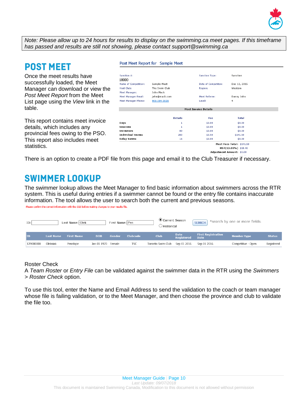

*Note: Please allow up to 24 hours for results to display on the swimming.ca meet pages. If this timeframe has passed and results are still not showing, please contact support@swimming.ca*

# <span id="page-9-0"></span>**POST MEET**

Once the meet results have successfully loaded, the Meet Manager can download or view the *Post Meet Report* from the Meet List page using the *View* link in the table.

This report contains meet invoice details, which includes any provincial fees owing to the PSO. This report also includes meet statistics.

#### Post Meet Report for Sample Meet

| Sanction #:                 |                |                             | Sanction                      |
|-----------------------------|----------------|-----------------------------|-------------------------------|
| 18000                       |                | <b>Sanction Type:</b>       |                               |
| <b>Name of Competition:</b> | Sample Meet    | Date of Competiton:         | Dec 13, 2015                  |
| Host Club:                  | The Swim Club  | Region:                     | Western                       |
| <b>Meet Manager:</b>        | John Mack      |                             |                               |
| <b>Meet Manager Email:</b>  | john@mack.com  | <b>Meet Referee:</b>        | Danny John                    |
| <b>Meet Manager Phone:</b>  | 905-304-3029   | Level:                      | 4                             |
|                             |                |                             |                               |
|                             |                | <b>Meet Invoice Details</b> |                               |
|                             | <b>Details</b> | Fee                         | <b>Total</b>                  |
| Days                        | 1              | \$0.00                      | \$0.00                        |
| Sessions                    | 1              | \$0.00                      | \$0.00                        |
| Swimmers                    | 80             | \$0.00                      | \$0.00                        |
| <b>Individual Swims</b>     | 283            | \$0.50                      | \$141.50                      |
| <b>Relay Swims</b>          | 16             | \$0.00                      | \$0.00                        |
|                             |                |                             | Meet Fees Total: \$141.50     |
|                             |                |                             | H5T(13.00%) \$18.40           |
|                             |                |                             | Adjustment Amount: \$0.00     |
|                             |                | -                           | <b><i><u>Property</u></i></b> |

<span id="page-9-1"></span>There is an option to create a PDF file from this page and email it to the Club Treasurer if necessary.

# **SWIMMER LOOKUP**

The swimmer lookup allows the Meet Manager to find basic information about swimmers across the RTR system. This is useful during entries if a swimmer cannot be found or the entry file contains inaccurate information. The tool allows the user to search both the current and previous seasons. Please confirm the correct information with the club before making changes to your results file.

| ID:       |                  | Last Name: Olek   |             | First Name: Pen |            | Current Season<br>) Historical |                    | <b>SEARCH</b>                            | *search by one or more fields: |               |
|-----------|------------------|-------------------|-------------|-----------------|------------|--------------------------------|--------------------|------------------------------------------|--------------------------------|---------------|
| ID        | <b>Last Name</b> | <b>First Name</b> | <b>DOB</b>  | Gender          | Clubcode   | <b>Club</b>                    | Date<br>Registered | <b>First Registration</b><br><b>Date</b> | <b>Member type</b>             | <b>Status</b> |
| 129000000 | Oleksiak         | Penelope          | Jan 01 1970 | Female          | <b>TSC</b> | Toronto Swim Club              | Sep 01 2016        | Sep 01 2016                              | Competitive - Open             | Registered    |

### Roster Check

A *Team Roster* or *Entry File* can be validated against the swimmer data in the RTR using the *Swimmers > Roster Check* option.

To use this tool, enter the Name and Email Address to send the validation to the coach or team manager whose file is failing validation, or to the Meet Manager, and then choose the province and club to validate the file too.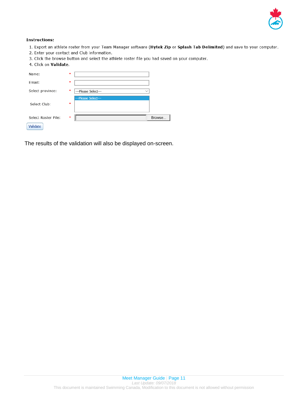

#### **Instructions:**

- 1. Export an athlete roster from your Team Manager software (Hytek Zip or Splash Tab Delimited) and save to your computer.
- 2. Enter your contact and Club information.
- 3. Click the browse button and select the athlete roster file you had saved on your computer.
- 4. Click on Validate.

| Name:               | ×             |                                     |        |
|---------------------|---------------|-------------------------------------|--------|
| Email:              | $\frac{1}{2}$ |                                     |        |
| Select province:    | als.          | ---Please Select---<br>$\checkmark$ |        |
| Select Club:        | sk.           | ---Please Select---                 |        |
| Select Roster File: | aja.          |                                     | Browse |
| Validate            |               |                                     |        |

The results of the validation will also be displayed on-screen.